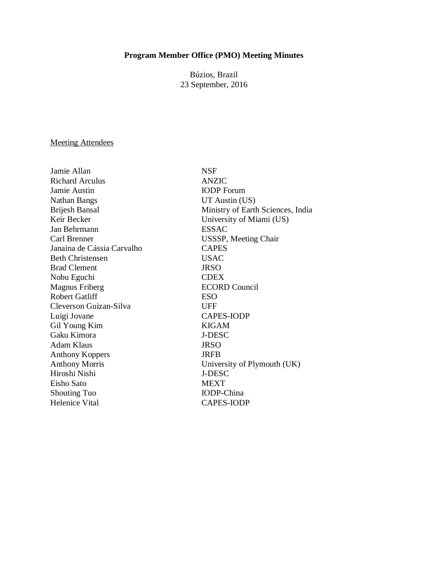#### **Program Member Office (PMO) Meeting Minutes**

Búzios, Brazil 23 September, 2016

#### Meeting Attendees

Jamie Allan NSF Richard Arculus ANZIC Jamie Austin IODP Forum Nathan Bangs UT Austin (US) Keir Becker University of Miami (US) Jan Behrmann ESSAC Carl Brenner USSSP, Meeting Chair Janaina de Cássia Carvalho CAPES Beth Christensen USAC Brad Clement JRSO Nobu Eguchi CDEX Magnus Friberg ECORD Council Robert Gatliff ESO Cleverson Guizan-Silva UFF Luigi Jovane CAPES-IODP Gil Young Kim KIGAM Gaku Kimora J-DESC Adam Klaus JRSO Anthony Koppers JRFB Anthony Morris University of Plymouth (UK) Hiroshi Nishi J-DESC Eisho Sato MEXT Shouting Tuo IODP-China Helenice Vital CAPES-IODP

Brijesh Bansal Ministry of Earth Sciences, India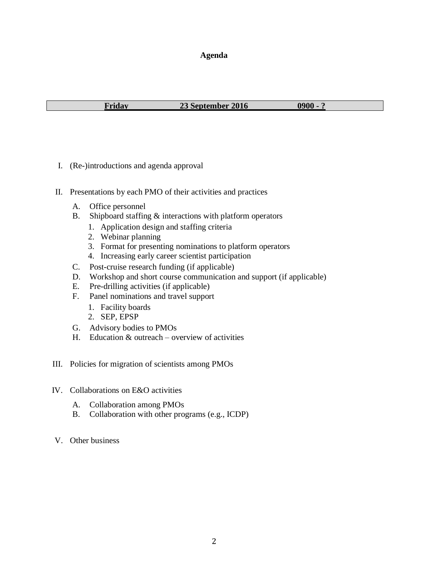#### **Agenda**

**Friday 23 September 2016 0900 - ?**

- I. (Re-)introductions and agenda approval
- II. Presentations by each PMO of their activities and practices
	- A. Office personnel
	- B. Shipboard staffing & interactions with platform operators
		- 1. Application design and staffing criteria
		- 2. Webinar planning
		- 3. Format for presenting nominations to platform operators
		- 4. Increasing early career scientist participation
	- C. Post-cruise research funding (if applicable)
	- D. Workshop and short course communication and support (if applicable)
	- E. Pre-drilling activities (if applicable)
	- F. Panel nominations and travel support
		- 1. Facility boards
		- 2. SEP, EPSP
	- G. Advisory bodies to PMOs
	- H. Education & outreach overview of activities
- III. Policies for migration of scientists among PMOs
- IV. Collaborations on E&O activities
	- A. Collaboration among PMOs
	- B. Collaboration with other programs (e.g., ICDP)
- V. Other business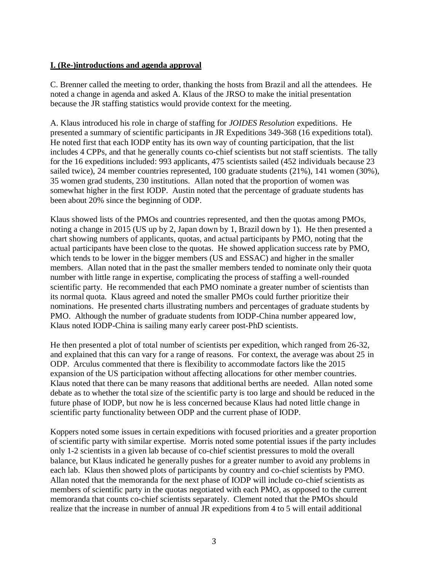# **I. (Re-)introductions and agenda approval**

C. Brenner called the meeting to order, thanking the hosts from Brazil and all the attendees. He noted a change in agenda and asked A. Klaus of the JRSO to make the initial presentation because the JR staffing statistics would provide context for the meeting.

A. Klaus introduced his role in charge of staffing for *JOIDES Resolution* expeditions. He presented a summary of scientific participants in JR Expeditions 349-368 (16 expeditions total). He noted first that each IODP entity has its own way of counting participation, that the list includes 4 CPPs, and that he generally counts co-chief scientists but not staff scientists. The tally for the 16 expeditions included: 993 applicants, 475 scientists sailed (452 individuals because 23 sailed twice), 24 member countries represented, 100 graduate students (21%), 141 women (30%), 35 women grad students, 230 institutions. Allan noted that the proportion of women was somewhat higher in the first IODP. Austin noted that the percentage of graduate students has been about 20% since the beginning of ODP.

Klaus showed lists of the PMOs and countries represented, and then the quotas among PMOs, noting a change in 2015 (US up by 2, Japan down by 1, Brazil down by 1). He then presented a chart showing numbers of applicants, quotas, and actual participants by PMO, noting that the actual participants have been close to the quotas. He showed application success rate by PMO, which tends to be lower in the bigger members (US and ESSAC) and higher in the smaller members. Allan noted that in the past the smaller members tended to nominate only their quota number with little range in expertise, complicating the process of staffing a well-rounded scientific party. He recommended that each PMO nominate a greater number of scientists than its normal quota. Klaus agreed and noted the smaller PMOs could further prioritize their nominations. He presented charts illustrating numbers and percentages of graduate students by PMO. Although the number of graduate students from IODP-China number appeared low, Klaus noted IODP-China is sailing many early career post-PhD scientists.

He then presented a plot of total number of scientists per expedition, which ranged from 26-32, and explained that this can vary for a range of reasons. For context, the average was about 25 in ODP. Arculus commented that there is flexibility to accommodate factors like the 2015 expansion of the US participation without affecting allocations for other member countries. Klaus noted that there can be many reasons that additional berths are needed. Allan noted some debate as to whether the total size of the scientific party is too large and should be reduced in the future phase of IODP, but now he is less concerned because Klaus had noted little change in scientific party functionality between ODP and the current phase of IODP.

Koppers noted some issues in certain expeditions with focused priorities and a greater proportion of scientific party with similar expertise. Morris noted some potential issues if the party includes only 1-2 scientists in a given lab because of co-chief scientist pressures to mold the overall balance, but Klaus indicated he generally pushes for a greater number to avoid any problems in each lab. Klaus then showed plots of participants by country and co-chief scientists by PMO. Allan noted that the memoranda for the next phase of IODP will include co-chief scientists as members of scientific party in the quotas negotiated with each PMO, as opposed to the current memoranda that counts co-chief scientists separately. Clement noted that the PMOs should realize that the increase in number of annual JR expeditions from 4 to 5 will entail additional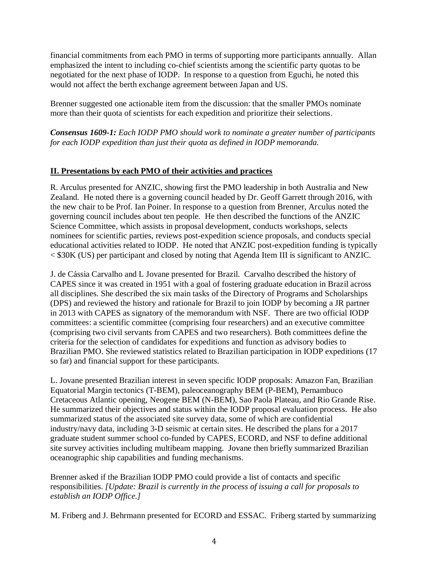financial commitments from each PMO in terms of supporting more participants annually. Allan emphasized the intent to including co-chief scientists among the scientific party quotas to be negotiated for the next phase of IODP. In response to a question from Eguchi, he noted this would not affect the berth exchange agreement between Japan and US.

Brenner suggested one actionable item from the discussion: that the smaller PMOs nominate more than their quota of scientists for each expedition and prioritize their selections.

*Consensus 1609-1: Each IODP PMO should work to nominate a greater number of participants for each IODP expedition than just their quota as defined in IODP memoranda.*

# **II. Presentations by each PMO of their activities and practices**

R. Arculus presented for ANZIC, showing first the PMO leadership in both Australia and New Zealand. He noted there is a governing council headed by Dr. Geoff Garrett through 2016, with the new chair to be Prof. Ian Poiner. In response to a question from Brenner, Arculus noted the governing council includes about ten people. He then described the functions of the ANZIC Science Committee, which assists in proposal development, conducts workshops, selects nominees for scientific parties, reviews post-expedition science proposals, and conducts special educational activities related to IODP. He noted that ANZIC post-expedition funding is typically < \$30K (US) per participant and closed by noting that Agenda Item III is significant to ANZIC.

J. de Cássia Carvalho and L Jovane presented for Brazil. Carvalho described the history of CAPES since it was created in 1951 with a goal of fostering graduate education in Brazil across all disciplines. She described the six main tasks of the Directory of Programs and Scholarships (DPS) and reviewed the history and rationale for Brazil to join IODP by becoming a JR partner in 2013 with CAPES as signatory of the memorandum with NSF. There are two official IODP committees: a scientific committee (comprising four researchers) and an executive committee (comprising two civil servants from CAPES and two researchers). Both committees define the criteria for the selection of candidates for expeditions and function as advisory bodies to Brazilian PMO. She reviewed statistics related to Brazilian participation in IODP expeditions (17 so far) and financial support for these participants.

L. Jovane presented Brazilian interest in seven specific IODP proposals: Amazon Fan, Brazilian Equatorial Margin tectonics (T-BEM), paleoceanography BEM (P-BEM), Pernambuco Cretaceous Atlantic opening, Neogene BEM (N-BEM), Sao Paola Plateau, and Rio Grande Rise. He summarized their objectives and status within the IODP proposal evaluation process. He also summarized status of the associated site survey data, some of which are confidential industry/navy data, including 3-D seismic at certain sites. He described the plans for a 2017 graduate student summer school co-funded by CAPES, ECORD, and NSF to define additional site survey activities including multibeam mapping. Jovane then briefly summarized Brazilian oceanographic ship capabilities and funding mechanisms.

Brenner asked if the Brazilian IODP PMO could provide a list of contacts and specific responsibilities. *[Update: Brazil is currently in the process of issuing a call for proposals to establish an IODP Office.]*

M. Friberg and J. Behrmann presented for ECORD and ESSAC. Friberg started by summarizing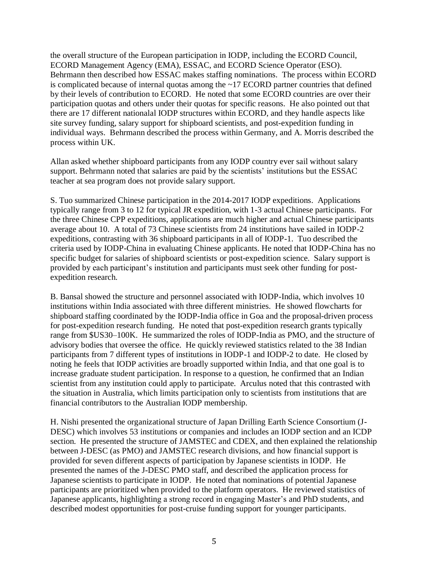the overall structure of the European participation in IODP, including the ECORD Council, ECORD Management Agency (EMA), ESSAC, and ECORD Science Operator (ESO). Behrmann then described how ESSAC makes staffing nominations. The process within ECORD is complicated because of internal quotas among the ~17 ECORD partner countries that defined by their levels of contribution to ECORD. He noted that some ECORD countries are over their participation quotas and others under their quotas for specific reasons. He also pointed out that there are 17 different nationalal IODP structures within ECORD, and they handle aspects like site survey funding, salary support for shipboard scientists, and post-expedition funding in individual ways. Behrmann described the process within Germany, and A. Morris described the process within UK.

Allan asked whether shipboard participants from any IODP country ever sail without salary support. Behrmann noted that salaries are paid by the scientists' institutions but the ESSAC teacher at sea program does not provide salary support.

S. Tuo summarized Chinese participation in the 2014-2017 IODP expeditions. Applications typically range from 3 to 12 for typical JR expedition, with 1-3 actual Chinese participants. For the three Chinese CPP expeditions, applications are much higher and actual Chinese participants average about 10. A total of 73 Chinese scientists from 24 institutions have sailed in IODP-2 expeditions, contrasting with 36 shipboard participants in all of IODP-1. Tuo described the criteria used by IODP-China in evaluating Chinese applicants. He noted that IODP-China has no specific budget for salaries of shipboard scientists or post-expedition science. Salary support is provided by each participant's institution and participants must seek other funding for postexpedition research.

B. Bansal showed the structure and personnel associated with IODP-India, which involves 10 institutions within India associated with three different ministries. He showed flowcharts for shipboard staffing coordinated by the IODP-India office in Goa and the proposal-driven process for post-expedition research funding. He noted that post-expedition research grants typically range from \$US30–100K. He summarized the roles of IODP-India as PMO, and the structure of advisory bodies that oversee the office. He quickly reviewed statistics related to the 38 Indian participants from 7 different types of institutions in IODP-1 and IODP-2 to date. He closed by noting he feels that IODP activities are broadly supported within India, and that one goal is to increase graduate student participation. In response to a question, he confirmed that an Indian scientist from any institution could apply to participate. Arculus noted that this contrasted with the situation in Australia, which limits participation only to scientists from institutions that are financial contributors to the Australian IODP membership.

H. Nishi presented the organizational structure of Japan Drilling Earth Science Consortium (J-DESC) which involves 53 institutions or companies and includes an IODP section and an ICDP section. He presented the structure of JAMSTEC and CDEX, and then explained the relationship between J-DESC (as PMO) and JAMSTEC research divisions, and how financial support is provided for seven different aspects of participation by Japanese scientists in IODP. He presented the names of the J-DESC PMO staff, and described the application process for Japanese scientists to participate in IODP. He noted that nominations of potential Japanese participants are prioritized when provided to the platform operators. He reviewed statistics of Japanese applicants, highlighting a strong record in engaging Master's and PhD students, and described modest opportunities for post-cruise funding support for younger participants.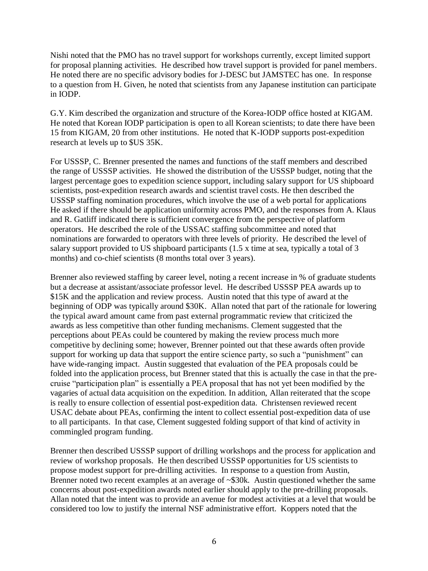Nishi noted that the PMO has no travel support for workshops currently, except limited support for proposal planning activities. He described how travel support is provided for panel members. He noted there are no specific advisory bodies for J-DESC but JAMSTEC has one. In response to a question from H. Given, he noted that scientists from any Japanese institution can participate in IODP.

G.Y. Kim described the organization and structure of the Korea-IODP office hosted at KIGAM. He noted that Korean IODP participation is open to all Korean scientists; to date there have been 15 from KIGAM, 20 from other institutions. He noted that K-IODP supports post-expedition research at levels up to \$US 35K.

For USSSP, C. Brenner presented the names and functions of the staff members and described the range of USSSP activities. He showed the distribution of the USSSP budget, noting that the largest percentage goes to expedition science support, including salary support for US shipboard scientists, post-expedition research awards and scientist travel costs. He then described the USSSP staffing nomination procedures, which involve the use of a web portal for applications He asked if there should be application uniformity across PMO, and the responses from A. Klaus and R. Gatliff indicated there is sufficient convergence from the perspective of platform operators. He described the role of the USSAC staffing subcommittee and noted that nominations are forwarded to operators with three levels of priority. He described the level of salary support provided to US shipboard participants (1.5 x time at sea, typically a total of 3 months) and co-chief scientists (8 months total over 3 years).

Brenner also reviewed staffing by career level, noting a recent increase in % of graduate students but a decrease at assistant/associate professor level. He described USSSP PEA awards up to \$15K and the application and review process. Austin noted that this type of award at the beginning of ODP was typically around \$30K. Allan noted that part of the rationale for lowering the typical award amount came from past external programmatic review that criticized the awards as less competitive than other funding mechanisms. Clement suggested that the perceptions about PEAs could be countered by making the review process much more competitive by declining some; however, Brenner pointed out that these awards often provide support for working up data that support the entire science party, so such a "punishment" can have wide-ranging impact. Austin suggested that evaluation of the PEA proposals could be folded into the application process, but Brenner stated that this is actually the case in that the precruise "participation plan" is essentially a PEA proposal that has not yet been modified by the vagaries of actual data acquisition on the expedition. In addition, Allan reiterated that the scope is really to ensure collection of essential post-expedition data. Christensen reviewed recent USAC debate about PEAs, confirming the intent to collect essential post-expedition data of use to all participants. In that case, Clement suggested folding support of that kind of activity in commingled program funding.

Brenner then described USSSP support of drilling workshops and the process for application and review of workshop proposals. He then described USSSP opportunities for US scientists to propose modest support for pre-drilling activities. In response to a question from Austin, Brenner noted two recent examples at an average of ~\$30k. Austin questioned whether the same concerns about post-expedition awards noted earlier should apply to the pre-drilling proposals. Allan noted that the intent was to provide an avenue for modest activities at a level that would be considered too low to justify the internal NSF administrative effort. Koppers noted that the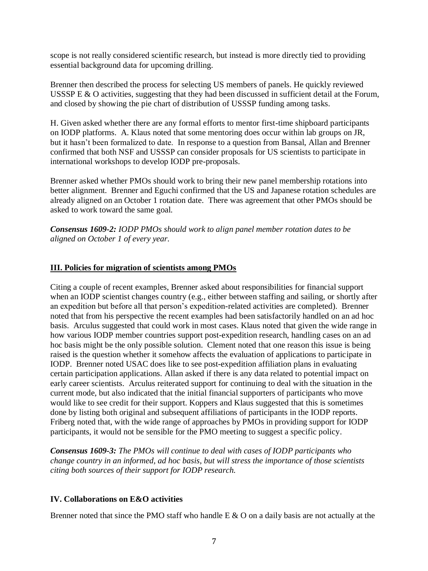scope is not really considered scientific research, but instead is more directly tied to providing essential background data for upcoming drilling.

Brenner then described the process for selecting US members of panels. He quickly reviewed USSSP E & O activities, suggesting that they had been discussed in sufficient detail at the Forum, and closed by showing the pie chart of distribution of USSSP funding among tasks.

H. Given asked whether there are any formal efforts to mentor first-time shipboard participants on IODP platforms. A. Klaus noted that some mentoring does occur within lab groups on JR, but it hasn't been formalized to date. In response to a question from Bansal, Allan and Brenner confirmed that both NSF and USSSP can consider proposals for US scientists to participate in international workshops to develop IODP pre-proposals.

Brenner asked whether PMOs should work to bring their new panel membership rotations into better alignment. Brenner and Eguchi confirmed that the US and Japanese rotation schedules are already aligned on an October 1 rotation date. There was agreement that other PMOs should be asked to work toward the same goal.

*Consensus 1609-2: IODP PMOs should work to align panel member rotation dates to be aligned on October 1 of every year.*

## **III. Policies for migration of scientists among PMOs**

Citing a couple of recent examples, Brenner asked about responsibilities for financial support when an IODP scientist changes country (e.g., either between staffing and sailing, or shortly after an expedition but before all that person's expedition-related activities are completed). Brenner noted that from his perspective the recent examples had been satisfactorily handled on an ad hoc basis. Arculus suggested that could work in most cases. Klaus noted that given the wide range in how various IODP member countries support post-expedition research, handling cases on an ad hoc basis might be the only possible solution. Clement noted that one reason this issue is being raised is the question whether it somehow affects the evaluation of applications to participate in IODP. Brenner noted USAC does like to see post-expedition affiliation plans in evaluating certain participation applications. Allan asked if there is any data related to potential impact on early career scientists. Arculus reiterated support for continuing to deal with the situation in the current mode, but also indicated that the initial financial supporters of participants who move would like to see credit for their support. Koppers and Klaus suggested that this is sometimes done by listing both original and subsequent affiliations of participants in the IODP reports. Friberg noted that, with the wide range of approaches by PMOs in providing support for IODP participants, it would not be sensible for the PMO meeting to suggest a specific policy.

*Consensus 1609-3: The PMOs will continue to deal with cases of IODP participants who change country in an informed, ad hoc basis, but will stress the importance of those scientists citing both sources of their support for IODP research.*

#### **IV. Collaborations on E&O activities**

Brenner noted that since the PMO staff who handle E & O on a daily basis are not actually at the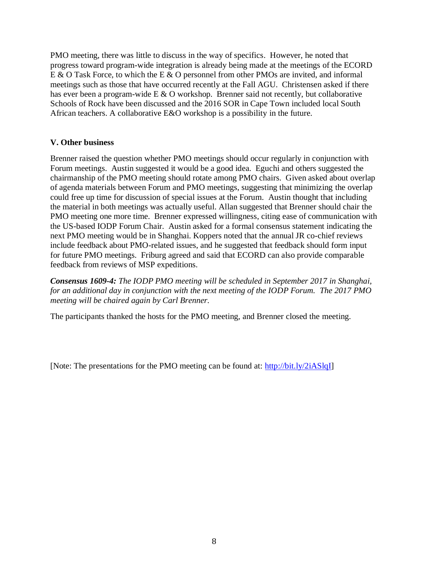PMO meeting, there was little to discuss in the way of specifics. However, he noted that progress toward program-wide integration is already being made at the meetings of the ECORD E & O Task Force, to which the E & O personnel from other PMOs are invited, and informal meetings such as those that have occurred recently at the Fall AGU. Christensen asked if there has ever been a program-wide E & O workshop. Brenner said not recently, but collaborative Schools of Rock have been discussed and the 2016 SOR in Cape Town included local South African teachers. A collaborative E&O workshop is a possibility in the future.

## **V. Other business**

Brenner raised the question whether PMO meetings should occur regularly in conjunction with Forum meetings. Austin suggested it would be a good idea. Eguchi and others suggested the chairmanship of the PMO meeting should rotate among PMO chairs. Given asked about overlap of agenda materials between Forum and PMO meetings, suggesting that minimizing the overlap could free up time for discussion of special issues at the Forum. Austin thought that including the material in both meetings was actually useful. Allan suggested that Brenner should chair the PMO meeting one more time. Brenner expressed willingness, citing ease of communication with the US-based IODP Forum Chair. Austin asked for a formal consensus statement indicating the next PMO meeting would be in Shanghai. Koppers noted that the annual JR co-chief reviews include feedback about PMO-related issues, and he suggested that feedback should form input for future PMO meetings. Friburg agreed and said that ECORD can also provide comparable feedback from reviews of MSP expeditions.

*Consensus 1609-4: The IODP PMO meeting will be scheduled in September 2017 in Shanghai, for an additional day in conjunction with the next meeting of the IODP Forum. The 2017 PMO meeting will be chaired again by Carl Brenner.*

The participants thanked the hosts for the PMO meeting, and Brenner closed the meeting.

[Note: The presentations for the PMO meeting can be found at: [http://bit.ly/2iASlqI\]](http://bit.ly/2iASlqI)